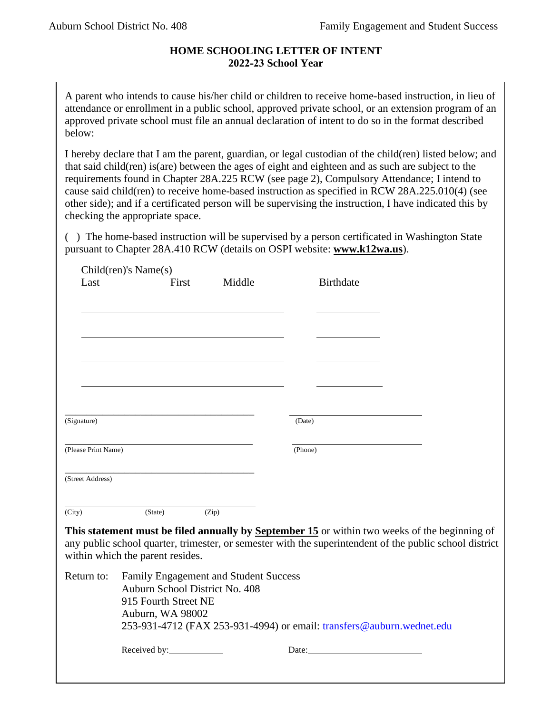## **HOME SCHOOLING LETTER OF INTENT 2022-23 School Year**

A parent who intends to cause his/her child or children to receive home-based instruction, in lieu of attendance or enrollment in a public school, approved private school, or an extension program of an approved private school must file an annual declaration of intent to do so in the format described below:

I hereby declare that I am the parent, guardian, or legal custodian of the child(ren) listed below; and that said child(ren) is(are) between the ages of eight and eighteen and as such are subject to the requirements found in Chapter 28A.225 RCW (see page 2), Compulsory Attendance; I intend to cause said child(ren) to receive home-based instruction as specified in RCW 28A.225.010(4) (see other side); and if a certificated person will be supervising the instruction, I have indicated this by checking the appropriate space.

( ) The home-based instruction will be supervised by a person certificated in Washington State pursuant to Chapter 28A.410 RCW (details on OSPI website: **www.k12wa.us**).

| Last                | $Children$ 's Name $(s)$         |                                       |                                                                                                                                                                                                          |  |
|---------------------|----------------------------------|---------------------------------------|----------------------------------------------------------------------------------------------------------------------------------------------------------------------------------------------------------|--|
|                     | First                            | Middle                                | <b>Birthdate</b>                                                                                                                                                                                         |  |
|                     |                                  |                                       |                                                                                                                                                                                                          |  |
|                     |                                  |                                       |                                                                                                                                                                                                          |  |
|                     |                                  |                                       |                                                                                                                                                                                                          |  |
|                     |                                  |                                       |                                                                                                                                                                                                          |  |
|                     |                                  |                                       |                                                                                                                                                                                                          |  |
|                     |                                  |                                       |                                                                                                                                                                                                          |  |
| (Signature)         |                                  |                                       | (Date)                                                                                                                                                                                                   |  |
| (Please Print Name) |                                  |                                       | (Phone)                                                                                                                                                                                                  |  |
| (Street Address)    |                                  |                                       |                                                                                                                                                                                                          |  |
| (City)              | (State)                          | (Zip)                                 |                                                                                                                                                                                                          |  |
|                     |                                  |                                       | This statement must be filed annually by September 15 or within two weeks of the beginning of<br>any public school quarter, trimester, or semester with the superintendent of the public school district |  |
|                     | within which the parent resides. |                                       |                                                                                                                                                                                                          |  |
| Return to:          | Auburn School District No. 408   | Family Engagement and Student Success |                                                                                                                                                                                                          |  |
|                     | 915 Fourth Street NE             |                                       |                                                                                                                                                                                                          |  |
|                     | Auburn, WA 98002                 |                                       | 253-931-4712 (FAX 253-931-4994) or email: transfers@auburn.wednet.edu                                                                                                                                    |  |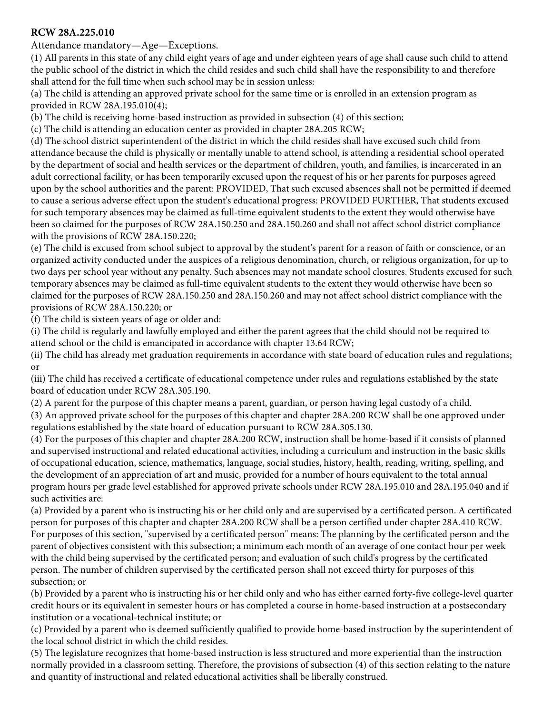## **RCW 28A.225.010**

Attendance mandatory—Age—Exceptions.

(1) All parents in this state of any child eight years of age and under eighteen years of age shall cause such child to attend the public school of the district in which the child resides and such child shall have the responsibility to and therefore shall attend for the full time when such school may be in session unless:

(a) The child is attending an approved private school for the same time or is enrolled in an extension program as provided in RCW 28A.195.010(4);

(b) The child is receiving home-based instruction as provided in subsection (4) of this section;

(c) The child is attending an education center as provided in chapter 28A.205 RCW;

(d) The school district superintendent of the district in which the child resides shall have excused such child from attendance because the child is physically or mentally unable to attend school, is attending a residential school operated by the department of social and health services or the department of children, youth, and families, is incarcerated in an adult correctional facility, or has been temporarily excused upon the request of his or her parents for purposes agreed upon by the school authorities and the parent: PROVIDED, That such excused absences shall not be permitted if deemed to cause a serious adverse effect upon the student's educational progress: PROVIDED FURTHER, That students excused for such temporary absences may be claimed as full-time equivalent students to the extent they would otherwise have been so claimed for the purposes of RCW 28A.150.250 and 28A.150.260 and shall not affect school district compliance with the provisions of RCW 28A.150.220;

(e) The child is excused from school subject to approval by the student's parent for a reason of faith or conscience, or an organized activity conducted under the auspices of a religious denomination, church, or religious organization, for up to two days per school year without any penalty. Such absences may not mandate school closures. Students excused for such temporary absences may be claimed as full-time equivalent students to the extent they would otherwise have been so claimed for the purposes of RCW 28A.150.250 and 28A.150.260 and may not affect school district compliance with the provisions of RCW 28A.150.220; or

(f) The child is sixteen years of age or older and:

(i) The child is regularly and lawfully employed and either the parent agrees that the child should not be required to attend school or the child is emancipated in accordance with chapter 13.64 RCW;

(ii) The child has already met graduation requirements in accordance with state board of education rules and regulations; or

(iii) The child has received a certificate of educational competence under rules and regulations established by the state board of education under RCW 28A.305.190.

(2) A parent for the purpose of this chapter means a parent, guardian, or person having legal custody of a child.

(3) An approved private school for the purposes of this chapter and chapter 28A.200 RCW shall be one approved under regulations established by the state board of education pursuant to RCW 28A.305.130.

(4) For the purposes of this chapter and chapter 28A.200 RCW, instruction shall be home-based if it consists of planned and supervised instructional and related educational activities, including a curriculum and instruction in the basic skills of occupational education, science, mathematics, language, social studies, history, health, reading, writing, spelling, and t[he developmen](http://app.leg.wa.gov/RCW/default.aspx?cite=28A.195.010)t of an appreciation of art and music, provided for a number of hours equivalent to the total annual program hours per grade level established for approved private schools under RCW 28A.195.010 and 28A.195.040 and if such activities are:

(a) Provided by a parent who is instructing his or her child only and are supervised by a certificated person. A certificated person for purposes of this chapter and chapter 28A.200 RCW shall be a person certified under chapter 28A.410 RCW. For purposes of this section, "supervised by a certificated person" means: The planning by the certificated person and the parent of objectives consistent with this subsection; a minimum each month of an average of one contact hour per week with the child being supervised by the certificated person; and evaluation of such child's progress by the certificated person. The number of children supervised by the certificated person shall not exceed thirty for purposes of this subsection; or

(b) Provided by a parent who is instructing his or her child only and who has either earned forty-five college-level quarter credit hours or its equivalent in semester hours or has completed a course in home-based instruction at a postsecondary institution or a vocational-technical institute; or

(c) Provided by a parent who is deemed sufficiently qualified to provide home-based instruction by the superintendent of the local school district in which the child resides.

(5) The legislature recognizes that home-based instruction is less structured and more experiential than the instruction normally provided in a classroom setting. Therefore, the provisions of subsection (4) of this section relating to the nature and quantity of instructional and related educational activities shall be liberally construed.